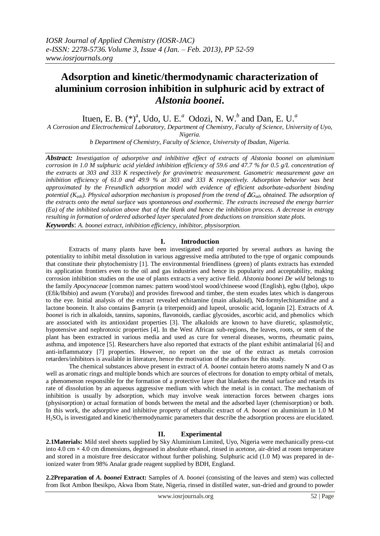# **Adsorption and kinetic/thermodynamic characterization of aluminium corrosion inhibition in sulphuric acid by extract of**  *Alstonia boonei***.**

Ituen, E. B. (\*)<sup>a</sup>, Udo, U. E.<sup>*a*</sup> Odozi, N. W.<sup>*b*</sup> and Dan, E. U.<sup>*a*</sup>

*A Corrosion and Electrochemical Laboratory, Department of Chemistry, Faculty of Science, University of Uyo,* 

*Nigeria.*

*b Department of Chemistry, Faculty of Science, University of Ibadan, Nigeria.*

*Abstract: Investigation of adsorptive and inhibitive effect of extracts of Alstonia boonei on aluminium corrosion in 1.0 M sulphuric acid yielded inhibition efficiency of 59.6 and 47.7 % for 0.5 g/L concentration of the extracts at 303 and 333 K respectively for gravimetric measurement. Gasometric measurement gave an inhibition efficiency of 61.0 and 49.9 % at 303 and 333 K respectively. Adsorption behavior was best approximated by the Freundlich adsorption model with evidence of efficient adsorbate-adsorbent binding potential (Kads). Physical adsorption mechanism is proposed from the trend of ΔGads obtained. The adsorption of the extracts onto the metal surface was spontaneous and exothermic. The extracts increased the energy barrier (Ea) of the inhibited solution above that of the blank and hence the inhibition process. A decrease in entropy resulting in formation of ordered adsorbed layer speculated from deductions on transition state plots.*

*Keywords*: *A. boonei extract, inhibition efficiency, inhibitor, physisorption.*

## **I. Introduction**

Extracts of many plants have been investigated and reported by several authors as having the potentiality to inhibit metal dissolution in various aggressive media attributed to the type of organic compounds that constitute their phytochemistry [1]. The environmental friendliness (green) of plants extracts has extended its application frontiers even to the oil and gas industries and hence its popularity and acceptability, making corrosion inhibition studies on the use of plants extracts a very active field. *Alstonia boonei De wild* belongs to the family *Apocynaceae* [common names: pattern wood/stool wood/chineese wood (English), egbu (Igbo), ukpo (Efik/Ibibio) and awum (Yoruba)] and provides firewood and timber, the stem exudes latex which is dangerous to the eye. Initial analysis of the extract revealed echitamine (main alkaloid), Nα-formylechitamidine and a lactone boonein. It also contains β-amyrin (a triterpenoid) and lupeol, urosolic acid, loganin [2]. Extracts of *A. boonei* is rich in alkaloids, tannins, saponins, flavonoids, cardiac glycosides, ascorbic acid, and phenolics which are associated with its antioxidant properties [3]. The alkaloids are known to have diuretic, splasmolytic, hypotensive and nephrotoxic properties [4]. In the West African sub-regions, the leaves, roots, or stem of the plant has been extracted in various media and used as cure for veneral diseases, worms, rheumatic pains, asthma, and impotence [5]. Researchers have also reported that extracts of the plant exhibit antimalarial [6] and anti-inflammatory [7] properties. However, no report on the use of the extract as metals corrosion retarders/inhibitors is available in literature, hence the motivation of the authors for this study.

The chemical substances above present in extract of *A. boonei* contain hetero atoms namely N and O as well as aromatic rings and multiple bonds which are sources of electrons for donation to empty orbital of metals, a phenomenon responsible for the formation of a protective layer that blankets the metal surface and retards its rate of dissolution by an aqueous aggressive medium with which the metal is in contact. The mechanism of inhibition is usually by adsorption, which may involve weak interaction forces between charges ions (physisorption) or actual formation of bonds between the metal and the adsorbed layer (chemisorption) or both. In this work, the adsorptive and inhibitive property of ethanolic extract of *A. boonei* on aluminium in 1.0 M H2SO<sup>4</sup> is investigated and kinetic/thermodynamic parameters that describe the adsorption process are elucidated.

## **II. Experimental**

**2.1Materials:** Mild steel sheets supplied by Sky Aluminium Limited, Uyo, Nigeria were mechanically press-cut into  $4.0 \text{ cm} \times 4.0 \text{ cm}$  dimensions, degreased in absolute ethanol, rinsed in acetone, air-dried at room temperature and stored in a moisture free desiccator without further polishing. Sulphuric acid (1.0 M) was prepared in deionized water from 98% Analar grade reagent supplied by BDH, England.

**2.2Preparation of** *A. boonei* **Extract:** Samples of *A. boonei* (consisting of the leaves and stem) was collected from Ikot Ambon Ibesikpo, Akwa Ibom State, Nigeria, rinsed in distilled water, sun-dried and ground to powder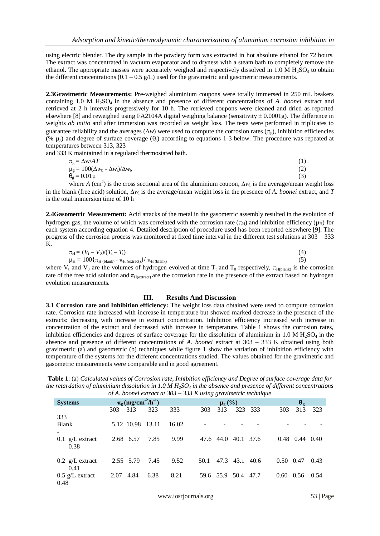using electric blender. The dry sample in the powdery form was extracted in hot absolute ethanol for 72 hours. The extract was concentrated in vacuum evaporator and to dryness with a steam bath to completely remove the ethanol. The appropriate masses were accurately weighed and respectively dissolved in  $1.0 M H_2SO_4$  to obtain the different concentrations  $(0.1 - 0.5 \text{ g/L})$  used for the gravimetric and gasometric measurements.

**2.3Gravimetric Measurements:** Pre-weighed aluminium coupons were totally immersed in 250 mL beakers containing 1.0 M H<sub>2</sub>SO<sub>4</sub> in the absence and presence of different concentrations of *A. boonei* extract and retrieved at 2 h intervals progressively for 10 h. The retrieved coupons were cleaned and dried as reported elsewhere [8] and reweighed using FA2104A digital weighing balance (sensitivity  $\pm$  0.0001g). The difference in weights *ab initio* and after immersion was recorded as weight loss. The tests were performed in triplicates to guarantee reliability and the averages ( $\Delta w$ ) were used to compute the corrosion rates ( $\pi_{\alpha}$ ), inhibition efficiencies (% μ<sub>g</sub>) and degree of surface coverage ( $θ_$ <sub>g</sub>) according to equations 1-3 below. The procedure was repeated at temperatures between 313, 323

and 333 K maintained in a regulated thermostated bath.

| $\pi_{\rm g} = \Delta$ w/AT                                               |     |
|---------------------------------------------------------------------------|-----|
| $\mu_{\rm g} = 100(\Delta w_{\rm b} - \Delta w_{\rm i})/\Delta w_{\rm b}$ | (2) |
| $\theta_{\rm g} = 0.01 \,\mu$                                             | (3) |

where *A* (cm<sup>2</sup>) is the cross sectional area of the aluminium coupon,  $\Delta w_b$  is the average/mean weight loss in the blank (free acid) solution,  $\Delta w_i$  is the average/mean weight loss in the presence of *A. boonei* extract, and *T* is the total immersion time of 10 h

**2.4Gasometric Measurement:** Acid attacks of the metal in the gasometric assembly resulted in the evolution of hydrogen gas, the volume of which was correlated with the corrosion rate ( $\pi_H$ ) and inhibition efficiency ( $\mu_H$ ) for each system according equation 4. Detailed description of procedure used has been reported elsewhere [9]. The progress of the corrosion process was monitored at fixed time interval in the different test solutions at 303 – 333 K.

$$
\pi_{\rm H} = (V_{\rm t} - V_0)/(T_{\rm t} - T_{\rm t})\tag{4}
$$

 $\mu_{\rm H} = 100 \{\pi_{\rm H \,(blank)} - \pi_{\rm H \,(extract)}\}/\pi_{\rm H \,(blank)}$  (5) where  $V_t$  and  $V_0$  are the volumes of hydrogen evolved at time  $T_t$  and  $T_0$  respectively,  $\pi_{H(blank)}$  is the corrosion rate of the free acid solution and  $\pi_{H(extract)}$  are the corrosion rate in the presence of the extract based on hydrogen evolution measurements.

### **III. Results And Discussion**

**3.1 Corrosion rate and Inhibition efficiency:** The weight loss data obtained were used to compute corrosion rate. Corrosion rate increased with increase in temperature but showed marked decrease in the presence of the extracts: decreasing with increase in extract concentration. Inhibition efficiency increased with increase in concentration of the extract and decreased with increase in temperature. Table 1 shows the corrosion rates, inhibition efficiencies and degrees of surface coverage for the dissolution of aluminium in 1.0 M  $H_2SO_4$  in the absence and presence of different concentrations of *A. boonei* extract at 303 – 333 K obtained using both gravimetric (a) and gasometric (b) techniques while figure 1 show the variation of inhibition efficiency with temperature of the systems for the different concentrations studied. The values obtained for the gravimetric and gasometric measurements were comparable and in good agreement.

**Table 1**: (a) *Calculated values of Corrosion rate, Inhibition efficiency and Degree of surface coverage data for the retardation of aluminium dissolution in 1.0 M H2SO<sup>4</sup> in the absence and presence of different concentrations of A. boonei extract at 303 – 333 K using gravimetric technique*

|                           |      |                                                       |      | 0) in booner extract at 505 – 555 in asing gravimente technique |      |               |                     |         |     |                            |      |
|---------------------------|------|-------------------------------------------------------|------|-----------------------------------------------------------------|------|---------------|---------------------|---------|-----|----------------------------|------|
| <b>Systems</b>            |      | $\pi_{\rm g}$ (mg/cm <sup>-2</sup> /h <sup>-1</sup> ) |      |                                                                 |      | $\mu_{g}(\%)$ |                     |         |     | $\bm{\theta}_{\texttt{g}}$ |      |
|                           | 303  | 313                                                   | 323  | 333                                                             | 303  | 313           |                     | 323 333 | 303 | 313                        | 323  |
| 333                       |      |                                                       |      |                                                                 |      |               |                     |         |     |                            |      |
| Blank                     |      | 5.12 10.98 13.11                                      |      | 16.02                                                           |      |               |                     |         |     |                            |      |
|                           |      |                                                       |      |                                                                 |      |               |                     |         |     |                            |      |
| $0.1 \text{ g/L}$ extract |      | 2.68 6.57                                             | 7.85 | 9.99                                                            |      |               | 47.6 44.0 40.1 37.6 |         |     | $0.48$ 0.44 0.40           |      |
| 0.38                      |      |                                                       |      |                                                                 |      |               |                     |         |     |                            |      |
|                           |      |                                                       |      |                                                                 |      |               |                     |         |     |                            |      |
| $0.2 \text{ g/L}$ extract |      | 2.55 5.79                                             | 7.45 | 9.52                                                            | 50.1 |               | 47.3 43.1 40.6      |         |     | $0.50 \quad 0.47$          | 0.43 |
| 0.41                      |      |                                                       |      |                                                                 |      |               |                     |         |     |                            |      |
| $0.5 \text{ g/L}$ extract | 2.07 | 4.84                                                  | 6.38 | 8.21                                                            |      |               | 59.6 55.9 50.4 47.7 |         |     | $0.60 \quad 0.56$          | 0.54 |
| 0.48                      |      |                                                       |      |                                                                 |      |               |                     |         |     |                            |      |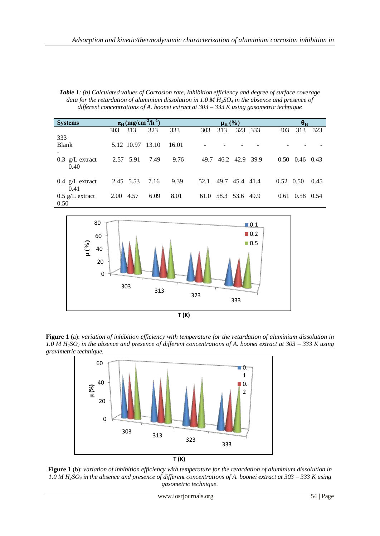*Table 1: (b) Calculated values of Corrosion rate, Inhibition efficiency and degree of surface coverage data for the retardation of aluminium dissolution in 1.0 M*  $H_2SO_4$  *in the absence and presence of different concentrations of A. boonei extract at 303 – 333 K using gasometric technique*

| <b>Systems</b>            | $\pi_{\text{H}}$ (mg/cm <sup>-2</sup> /h <sup>-1</sup> ) |      |       |      |     | $\mu_{\rm H}$ (%)   |                | $\theta_H$           |      |
|---------------------------|----------------------------------------------------------|------|-------|------|-----|---------------------|----------------|----------------------|------|
|                           | 313<br>303                                               | 323  | 333   | 303  | 313 |                     | 323 333        | 313<br>303           | 323  |
| 333                       |                                                          |      |       |      |     |                     |                |                      |      |
| <b>Blank</b>              | 5.12 10.97 13.10                                         |      | 16.01 |      |     |                     |                |                      |      |
|                           |                                                          |      |       |      |     |                     |                |                      |      |
| $0.3 \text{ g/L}$ extract | 2.57 5.91                                                | 7.49 | 9.76  | 49.7 |     |                     | 46.2 42.9 39.9 | $0.50$ $0.46$ $0.43$ |      |
| 0.40                      |                                                          |      |       |      |     |                     |                |                      |      |
|                           |                                                          |      |       |      |     |                     |                |                      |      |
| $0.4 \text{ g/L}$ extract | 2.45 5.53                                                | 7.16 | 9.39  | 52.1 |     | 49.7 45.4 41.4      |                | $0.52 \quad 0.50$    | 0.45 |
| 0.41                      |                                                          |      |       |      |     |                     |                |                      |      |
| $0.5 \text{ g/L}$ extract | 4.57<br>2.00                                             | 6.09 | 8.01  |      |     | 61.0 58.3 53.6 49.9 |                | $0.61$ $0.58$ $0.54$ |      |
| 0.50                      |                                                          |      |       |      |     |                     |                |                      |      |



**Figure 1** (a): *variation of inhibition efficiency with temperature for the retardation of aluminium dissolution in 1.0 M H2SO<sup>4</sup> in the absence and presence of different concentrations of A. boonei extract at 303 – 333 K using gravimetric technique.*



**Figure 1** (b): *variation of inhibition efficiency with temperature for the retardation of aluminium dissolution in 1.0 M H2SO<sup>4</sup> in the absence and presence of different concentrations of A. boonei extract at 303 – 333 K using gasometric technique.*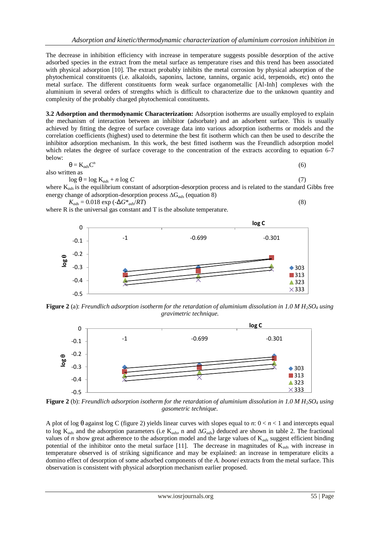The decrease in inhibition efficiency with increase in temperature suggests possible desorption of the active adsorbed species in the extract from the metal surface as temperature rises and this trend has been associated with physical adsorption [10]. The extract probably inhibits the metal corrosion by physical adsorption of the phytochemical constituents (i.e. alkaloids, saponins, lactone, tannins, organic acid, terpenoids, etc) onto the metal surface. The different constituents form weak surface organometallic [Al-Inh] complexes with the aluminium in several orders of strengths which is difficult to characterize due to the unknown quantity and complexity of the probably charged phytochemical constituents.

**3.2 Adsorption and thermodynamic Characterization:** Adsorption isotherms are usually employed to explain the mechanism of interaction between an inhibitor (adsorbate) and an adsorbent surface. This is usually achieved by fitting the degree of surface coverage data into various adsorption isotherms or models and the correlation coefficients (highest) used to determine the best fit isotherm which can then be used to describe the inhibitor adsorption mechanism. In this work, the best fitted isotherm was the Freundlich adsorption model which relates the degree of surface coverage to the concentration of the extracts according to equation 6-7 below:

$$
\theta = K_{ads}C^{n}
$$
\n(6)

also writt

 $\log \theta = \log K_{ads} + n \log C$  (7)

where  $K_{ads}$  is the equilibrium constant of adsorption-desorption process and is related to the standard Gibbs free energy change of adsorption-desorption process  $\Delta G_{ads}$  (equation 8)

$$
K_{ads} = 0.018 \exp\left(-\Delta G^*_{ads}/RT\right) \tag{8}
$$

where R is the universal gas constant and T is the absolute temperature.



**Figure 2** (a): *Freundlich adsorption isotherm for the retardation of aluminium dissolution in 1.0 M H2SO<sup>4</sup> using gravimetric technique.*



**Figure 2** (b): *Freundlich adsorption isotherm for the retardation of aluminium dissolution in 1.0 M H2SO<sup>4</sup> using gasometric technique.*

A plot of log θ against log C (figure 2) yields linear curves with slopes equal to *n*: 0 < *n* < 1 and intercepts equal to log  $K_{ads}$  and the adsorption parameters (i.e  $K_{ads}$ , n and  $\Delta G_{ads}$ ) deduced are shown in table 2. The fractional values of *n* show great adherence to the adsorption model and the large values of K*ads* suggest efficient binding potential of the inhibitor onto the metal surface [11]. The decrease in magnitudes of K*ads* with increase in temperature observed is of striking significance and may be explained: an increase in temperature elicits a domino effect of desorption of some adsorbed components of the *A. boonei* extracts from the metal surface. This observation is consistent with physical adsorption mechanism earlier proposed.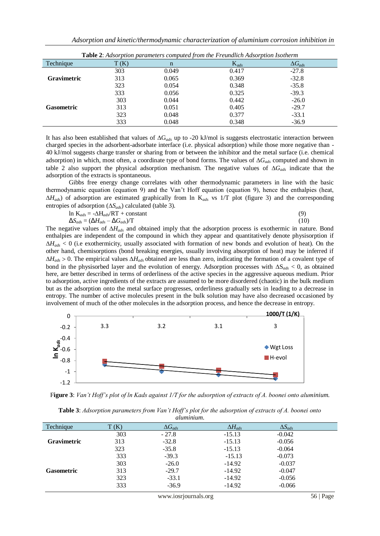|                                         |      |       | <b>Table 2</b> . Adsorption parameters computed from the Freundlich Adsorption Isotherm |                  |
|-----------------------------------------|------|-------|-----------------------------------------------------------------------------------------|------------------|
| Technique                               | T(K) | n     | $K_{ads}$                                                                               | $\Delta G_{ads}$ |
|                                         | 303  | 0.049 | 0.417                                                                                   | $-27.8$          |
| <b>Gravimetric</b><br><b>Gasometric</b> | 313  | 0.065 | 0.369                                                                                   | $-32.8$          |
|                                         | 323  | 0.054 | 0.348                                                                                   | $-35.8$          |
|                                         | 333  | 0.056 | 0.325                                                                                   | $-39.3$          |
|                                         | 303  | 0.044 | 0.442                                                                                   | $-26.0$          |
|                                         | 313  | 0.051 | 0.405                                                                                   | $-29.7$          |
|                                         | 323  | 0.048 | 0.377                                                                                   | $-33.1$          |
|                                         | 333  | 0.048 | 0.348                                                                                   | $-36.9$          |

**Table 2**: *Adsorption parameters computed from the Freundlich Adsorption Isotherm*

It has also been established that values of  $\Delta G_{ads}$  up to -20 kJ/mol is suggests electrostatic interaction between charged species in the adsorbent-adsorbate interface (i.e. physical adsorption) while those more negative than - 40 kJ/mol suggests charge transfer or sharing from or between the inhibitor and the metal surface (i.e. chemical adsorption) in which, most often, a coordinate type of bond forms. The values of  $\Delta G_{ads}$  computed and shown in table 2 also support the physical adsorption mechanism. The negative values of  $\Delta G_{ads}$  indicate that the adsorption of the extracts is spontaneous.

Gibbs free energy change correlates with other thermodynamic parameters in line with the basic thermodynamic equation (equation 9) and the Van't Hoff equation (equation 9), hence the enthalpies (heat,  $\Delta H_{ads}$ ) of adsorption are estimated graphically from ln K<sub>ads</sub> vs 1/T plot (figure 3) and the corresponding entropies of adsorption  $(\Delta S_{ads})$  calculated (table 3).

$$
\ln K_{ads} = -\Delta H_{ads}/RT + constant \tag{9}
$$

$$
\Delta S_{ads} = (\Delta H_{ads} - \Delta G_{ads})/T
$$
\n(10)

The negative values of *Hads* and obtained imply that the adsorption process is exothermic in nature. Bond enthalpies are independent of the compound in which they appear and quantitatively denote physisorption if  $\Delta H_{ads}$  < 0 (i.e exothermicity, usually associated with formation of new bonds and evolution of heat). On the other hand, chemisorptions (bond breaking energies, usually involving absorption of heat) may be inferred if  $\Delta H_{ads} > 0$ . The empirical values  $\Delta H_{ads}$  obtained are less than zero, indicating the formation of a covalent type of bond in the physisorbed layer and the evolution of energy. Adsorption processes with  $\Delta S_{ads} < 0$ , as obtained here, are better described in terms of orderliness of the active species in the aggressive aqueous medium. Prior to adsorption, active ingredients of the extracts are assumed to be more disordered (chaotic) in the bulk medium but as the adsorption onto the metal surface progresses, orderliness gradually sets in leading to a decrease in entropy. The number of active molecules present in the bulk solution may have also decreased occasioned by involvement of much of the other molecules in the adsorption process, and hence the decrease in entropy.



F**igure 3**: *Van't Hoff's plot of ln Kads against 1/T for the adsorption of extracts of A. boonei onto aluminium*.

**Table 3**: *Adsorption parameters from Van't Hoff's plot for the adsorption of extracts of A. boonei onto aluminium*.

|                    |      | .                |                  |                  |  |
|--------------------|------|------------------|------------------|------------------|--|
| Technique          | T(K) | $\Delta G_{ads}$ | $\Delta H_{ads}$ | $\Delta S_{ads}$ |  |
|                    | 303  | $-27.8$          | $-15.13$         | $-0.042$         |  |
| <b>Gravimetric</b> | 313  | $-32.8$          | $-15.13$         | $-0.056$         |  |
|                    | 323  | $-35.8$          | $-15.13$         | $-0.064$         |  |
|                    | 333  | $-39.3$          | $-15.13$         | $-0.073$         |  |
|                    | 303  | $-26.0$          | $-14.92$         | $-0.037$         |  |
| <b>Gasometric</b>  | 313  | $-29.7$          | $-14.92$         | $-0.047$         |  |
|                    | 323  | $-33.1$          | $-14.92$         | $-0.056$         |  |
|                    | 333  | $-36.9$          | $-14.92$         | $-0.066$         |  |
|                    |      |                  |                  |                  |  |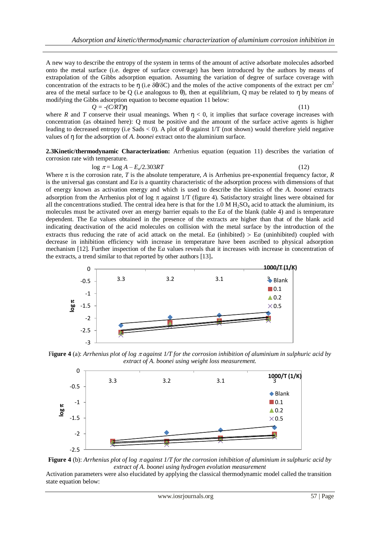A new way to describe the entropy of the system in terms of the amount of active adsorbate molecules adsorbed onto the metal surface (i.e. degree of surface coverage) has been introduced by the authors by means of extrapolation of the Gibbs adsorption equation. Assuming the variation of degree of surface coverage with concentration of the extracts to be  $\eta$  (i.e  $\delta\theta/\delta C$ ) and the moles of the active components of the extract per cm<sup>2</sup> area of the metal surface to be Q (i.e analogous to  $\theta$ ), then at equilibrium, Q may be related to  $\eta$  by means of modifying the Gibbs adsorption equation to become equation 11 below:

 $Q = -(C/RT)\eta$  (11) where *R* and *T* conserve their usual meanings. When  $\eta$  < 0, it implies that surface coverage increases with concentration (as obtained here): Q must be positive and the amount of the surface active agents is higher leading to decreased entropy (i.e Sads  $<$  0). A plot of  $\theta$  against 1/T (not shown) would therefore yield negative values of ŋ for the adsorption of *A. boonei* extract onto the aluminium surface.

**2.3Kinetic/thermodynamic Characterization:** Arrhenius equation (equation 11) describes the variation of corrosion rate with temperature.

### $\log \pi = \text{Log } A - E_a/2.303RT$  (12)

Where  $\pi$  is the corrosion rate, *T* is the absolute temperature, *A* is Arrhenius pre-exponential frequency factor, *R* is the universal gas constant and E*a* is a quantity characteristic of the adsorption process with dimensions of that of energy known as activation energy and which is used to describe the kinetics of the *A. boonei* extracts adsorption from the Arrhenius plot of log  $\pi$  against 1/T (figure 4). Satisfactory straight lines were obtained for all the concentrations studied. The central idea here is that for the 1.0 M  $H_2SO_4$  acid to attack the aluminium, its molecules must be activated over an energy barrier equals to the E*a* of the blank (table 4) and is temperature dependent. The E*a* values obtained in the presence of the extracts are higher than that of the blank acid indicating deactivation of the acid molecules on collision with the metal surface by the introduction of the extracts thus reducing the rate of acid attack on the metal. E*a* (inhibited)  $>$  E*a* (uninhibited) coupled with decrease in inhibition efficiency with increase in temperature have been ascribed to physical adsorption mechanism [12]. Further inspection of the E*a* values reveals that it increases with increase in concentration of the extracts, a trend similar to that reported by other authors [13]**.**



Figure 4 (a): *Arrhenius plot of log*  $\pi$  *against 1/T for the corrosion inhibition of aluminium in sulphuric acid by extract of A. boonei using weight loss measurement.*





Activation parameters were also elucidated by applying the classical thermodynamic model called the transition state equation below: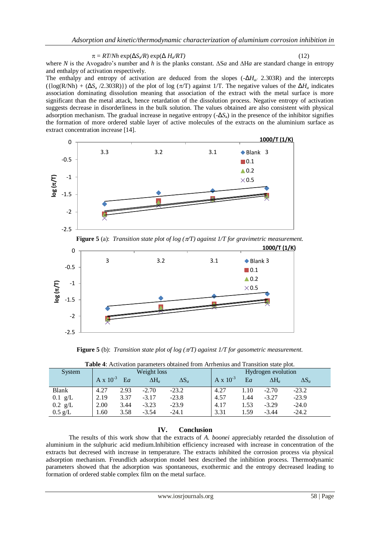$\pi = RT/Nh \exp(\Delta S_a/R) \exp(\Delta H_a/RT)$  (12)

where *N* is the Avogadro's number and *h* is the planks constant.  $\Delta Sa$  and  $\Delta Ha$  are standard change in entropy and enthalpy of activation respectively.

The enthalpy and entropy of activation are deduced from the slopes (-Δ*Ha/* 2.303R) and the intercepts  $({log(R/Nh) + (\Delta S_a / 2.303R)})$  of the plot of log  $(\pi/T)$  against 1/T. The negative values of the  $\Delta H_a$  indicates association dominating dissolution meaning that association of the extract with the metal surface is more significant than the metal attack, hence retardation of the dissolution process. Negative entropy of activation suggests decrease in disorderliness in the bulk solution. The values obtained are also consistent with physical adsorption mechanism. The gradual increase in negative entropy (-Δ*S*a) in the presence of the inhibitor signifies the formation of more ordered stable layer of active molecules of the extracts on the aluminium surface as extract concentration increase [14].



**Figure 5** (a): *Transition state plot of log (* $\pi T$ *) against 1/T for gravimetric measurement.* 



**Figure 5** (b): *Transition state plot of log (/T) against 1/T for gasometric measurement.*

|                   | <b>Tuble</b> 4. Tien ration parameters obtained from Turnellius and Transition state prot. |       |              |              |                    |       |                    |              |  |
|-------------------|--------------------------------------------------------------------------------------------|-------|--------------|--------------|--------------------|-------|--------------------|--------------|--|
| System            | Weight loss                                                                                |       |              |              |                    |       | Hydrogen evolution |              |  |
|                   | $A \times 10^{-3}$                                                                         | $E_a$ | $\Delta H_a$ | $\Delta S_a$ | $A \times 10^{-3}$ | $E_a$ | $\Delta H_a$       | $\Delta S_a$ |  |
| Blank             | 4.27                                                                                       | 2.93  | $-2.70$      | $-23.2$      | 4.27               | 1.10  | $-2.70$            | $-23.2$      |  |
| $0.1$ g/L         | 2.19                                                                                       | 3.37  | $-3.17$      | $-23.8$      | 4.57               | 1.44  | $-3.27$            | $-23.9$      |  |
| $0.2$ g/L         | 2.00                                                                                       | 3.44  | $-3.23$      | $-23.9$      | 4.17               | 1.53  | $-3.29$            | $-24.0$      |  |
| $0.5 \text{ g/L}$ | 1.60                                                                                       | 3.58  | $-3.54$      | $-24.1$      | 3.31               | 1.59  | $-3.44$            | $-24.2$      |  |

**Table 4**: Activation parameters obtained from Arrhenius and Transition state plot.

## **IV. Conclusion**

The results of this work show that the extracts of *A. boonei* appreciably retarded the dissolution of aluminium in the sulphuric acid medium.Inhibition efficiency increased with increase in concentration of the extracts but decresed with increase in temperature. The extracts inhibited the corrosion process via physical adsorption mechanism. Freundlich adsorption model best described the inhibition process. Thermodynamic parameters showed that the adsorption was spontaneous, exothermic and the entropy decreased leading to formation of ordered stable complex film on the metal surface.